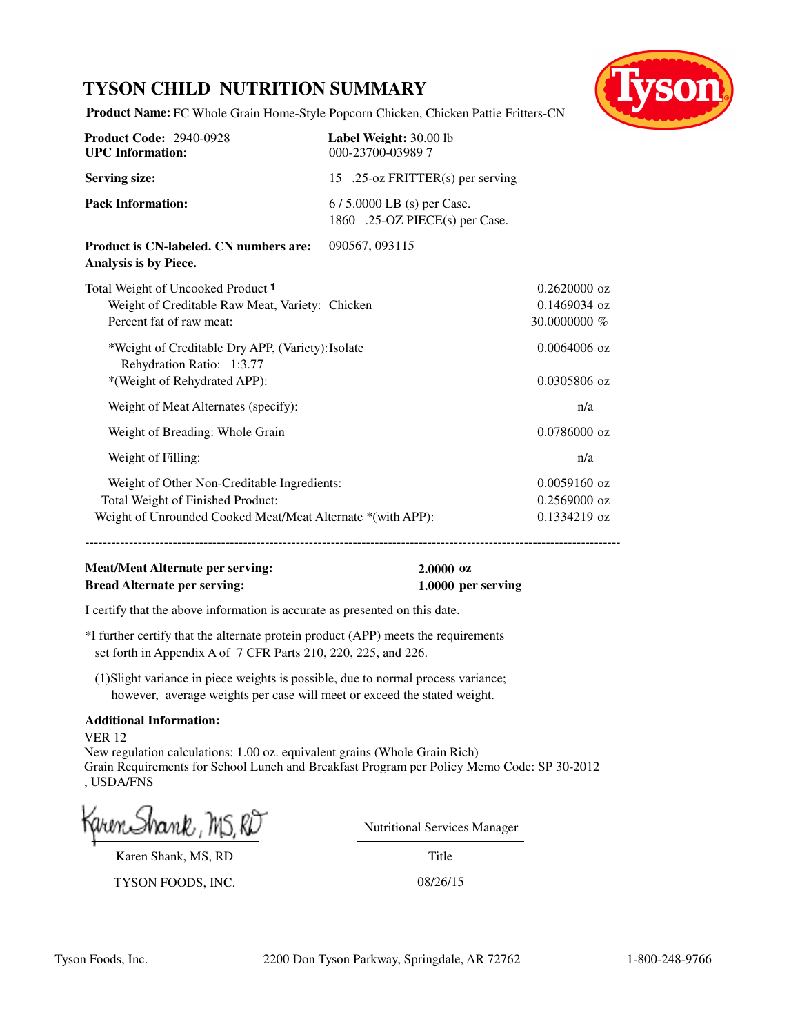# **TYSON CHILD NUTRITION SUMMARY**



**Product Name:** FC Whole Grain Home-Style Popcorn Chicken, Chicken Pattie Fritters-CN

| <b>Product Code: 2940-0928</b><br><b>UPC</b> Information:                                                                                       | Label Weight: 30.00 lb<br>000-23700-039897                  |                                                  |
|-------------------------------------------------------------------------------------------------------------------------------------------------|-------------------------------------------------------------|--------------------------------------------------|
| <b>Serving size:</b>                                                                                                                            | 15 .25-oz FRITTER(s) per serving                            |                                                  |
| <b>Pack Information:</b>                                                                                                                        | 6/5.0000 LB (s) per Case.<br>1860 .25-OZ PIECE(s) per Case. |                                                  |
| <b>Product is CN-labeled. CN numbers are:</b><br>Analysis is by Piece.                                                                          | 090567, 093115                                              |                                                  |
| Total Weight of Uncooked Product 1<br>Weight of Creditable Raw Meat, Variety: Chicken<br>Percent fat of raw meat:                               |                                                             | $0.2620000$ oz<br>$0.1469034$ oz<br>30.0000000 % |
| *Weight of Creditable Dry APP, (Variety): Isolate<br>Rehydration Ratio: 1:3.77<br>*(Weight of Rehydrated APP):                                  |                                                             | $0.0064006$ oz<br>$0.0305806$ oz                 |
| Weight of Meat Alternates (specify):                                                                                                            |                                                             | n/a                                              |
| Weight of Breading: Whole Grain                                                                                                                 |                                                             | $0.0786000$ oz                                   |
| Weight of Filling:                                                                                                                              |                                                             | n/a                                              |
| Weight of Other Non-Creditable Ingredients:<br>Total Weight of Finished Product:<br>Weight of Unrounded Cooked Meat/Meat Alternate *(with APP): |                                                             | $0.0059160$ oz<br>$0.2569000$ oz<br>0.1334219 oz |

**------------------------------------------------------------------------------------------------------------------------------------------**

# **Meat/Meat Alternate per serving: 2.0000 oz Bread Alternate per serving: 1.0000 per serving**

I certify that the above information is accurate as presented on this date.

\*I further certify that the alternate protein product (APP) meets the requirements set forth in Appendix A of 7 CFR Parts 210, 220, 225, and 226.

(1)Slight variance in piece weights is possible, due to normal process variance; however, average weights per case will meet or exceed the stated weight.

## **Additional Information:**

VER 12 New regulation calculations: 1.00 oz. equivalent grains (Whole Grain Rich) Grain Requirements for School Lunch and Breakfast Program per Policy Memo Code: SP 30-2012 , USDA/FNS

Karen Shank, MS, RD

TYSON FOODS, INC. 08/26/15

Nutritional Services Manager

Title

Tyson Foods, Inc. 2200 Don Tyson Parkway, Springdale, AR 72762 1-800-248-9766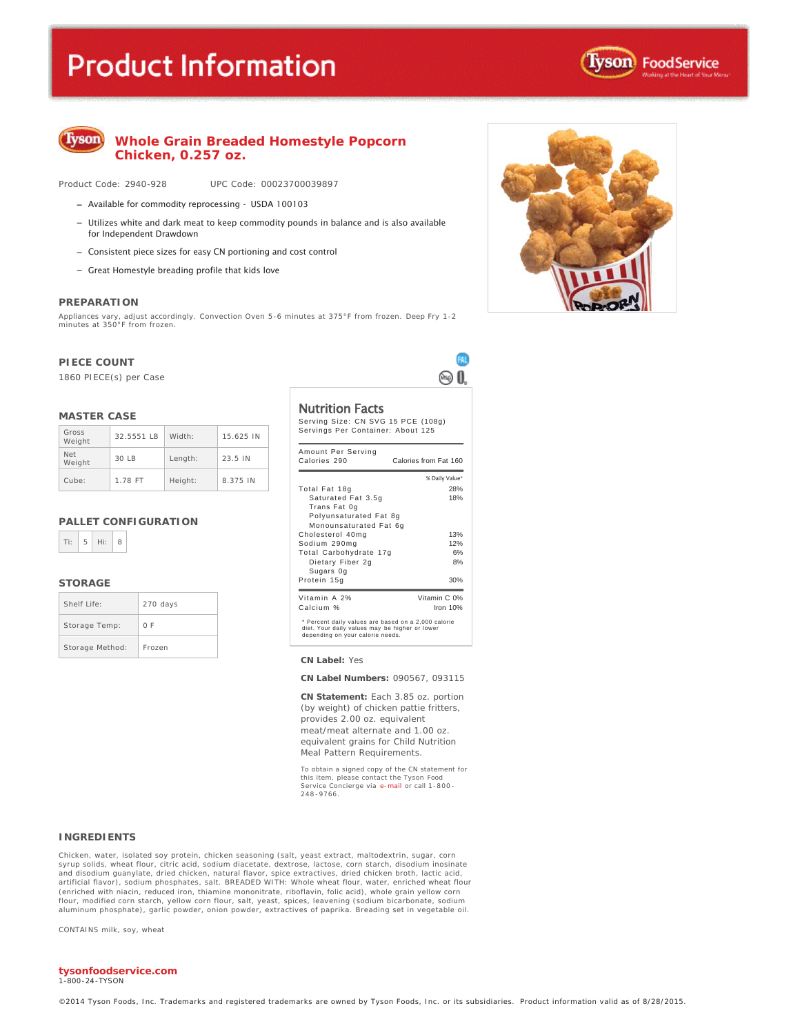# **Product Information**





## **Whole Grain Breaded Homestyle Popcorn Chicken, 0.257 oz.**

Product Code: 2940-928 UPC Code: 00023700039897

- Available for commodity reprocessing USDA 100103
- $-$  Utilizes white and dark meat to keep commodity pounds in balance and is also available for Independent Drawdown
- Consistent piece sizes for easy CN portioning and cost control
- Great Homestyle breading profile that kids love

#### **PREPARATION**

Appliances vary, adjust accordingly. Convection Oven 5-6 minutes at 375°F from frozen. Deep Fry 1-2 minutes at 350°F from frozen.

#### **PIECE COUNT**

1860 PIECE(s) per Case

#### **MASTER CASE**

| Gross<br>Weight      | 32.5551 IB | Width:  | 15.625 IN |
|----------------------|------------|---------|-----------|
| <b>Net</b><br>Weight | 30IB       | Length: | 23.5 IN   |
| Cube:                | 1.78 FT    | Height: | 8.375 IN  |

#### **PALLET CONFIGURATION**

| z<br><b>STATE</b> |  | × |
|-------------------|--|---|
|-------------------|--|---|

#### **STORAGE**

| Shelf Life:     | 270 days |
|-----------------|----------|
| Storage Temp:   | 0 F      |
| Storage Method: | Frozen   |

#### Nutrition Facts

Serving Size: CN SVG 15 PCE (108g) Servings Per Container: About 125 Amount Per Serving Calories 290 Calories from Fat 160

Œ ® 0

| Calories 290                                                                                                                              | Calories from Fat 160 |  |  |
|-------------------------------------------------------------------------------------------------------------------------------------------|-----------------------|--|--|
|                                                                                                                                           | % Daily Value*        |  |  |
| Total Fat 18g                                                                                                                             | 28%                   |  |  |
| Saturated Fat 3.5g                                                                                                                        | 18%                   |  |  |
| Trans Fat 0g                                                                                                                              |                       |  |  |
| Polyunsaturated Fat 8g                                                                                                                    |                       |  |  |
| Monounsaturated Fat 6g                                                                                                                    |                       |  |  |
| Cholesterol 40mg                                                                                                                          | 13%                   |  |  |
| Sodium 290mg                                                                                                                              | 12%                   |  |  |
| Total Carbohydrate 17g                                                                                                                    | 6%                    |  |  |
| Dietary Fiber 2g                                                                                                                          | 8%                    |  |  |
| Sugars Og                                                                                                                                 |                       |  |  |
| Protein 15g                                                                                                                               | 30%                   |  |  |
| Vitamin A 2%                                                                                                                              | Vitamin C 0%          |  |  |
| Calcium %                                                                                                                                 | Iron 10%              |  |  |
| * Percent daily values are based on a 2,000 calorie<br>diet. Your daily values may be higher or lower<br>depending on your calorie needs. |                       |  |  |

#### **CN Label:** Yes

**CN Label Numbers:** 090567, 093115

**CN Statement:** Each 3.85 oz. portion (by weight) of chicken pattie fritters, provides 2.00 oz. equivalent meat/meat alternate and 1.00 oz. equivalent grains for Child Nutrition Meal Pattern Requirements.

To obtain a signed copy of the CN statement for this item, please contact the Tyson Food<br>Service Concierge via e-<mark>mail</mark> or call 1-800-248 -9766.

#### **INGREDIENTS**

Chicken, water, isolated soy protein, chicken seasoning (salt, yeast extract, maltodextrin, sugar, corn syrup solids, wheat flour, citric acid, sodium diacetate, dextrose, lactose, corn starch, disodium inosinate and disodium guanylate, dried chicken, natural flavor, spice extractives, dried chicken broth, lactic acid, artificial flavor), sodium phosphates, salt. BREADED WITH: Whole wheat flour, water, enriched wheat flour (enriched with niacin, reduced iron, thiamine mononitrate, riboflavin, folic acid), whole grain yellow corn flour, modified corn starch, yellow corn flour, salt, yeast, spices, leavening (sodium bicarbonate, sodium aluminum phosphate), garlic powder, onion powder, extractives of paprika. Breading set in vegetable oil.

CONTAINS milk, soy, wheat

#### **tysonfoodservice.com**

1-800 -24-TYSON

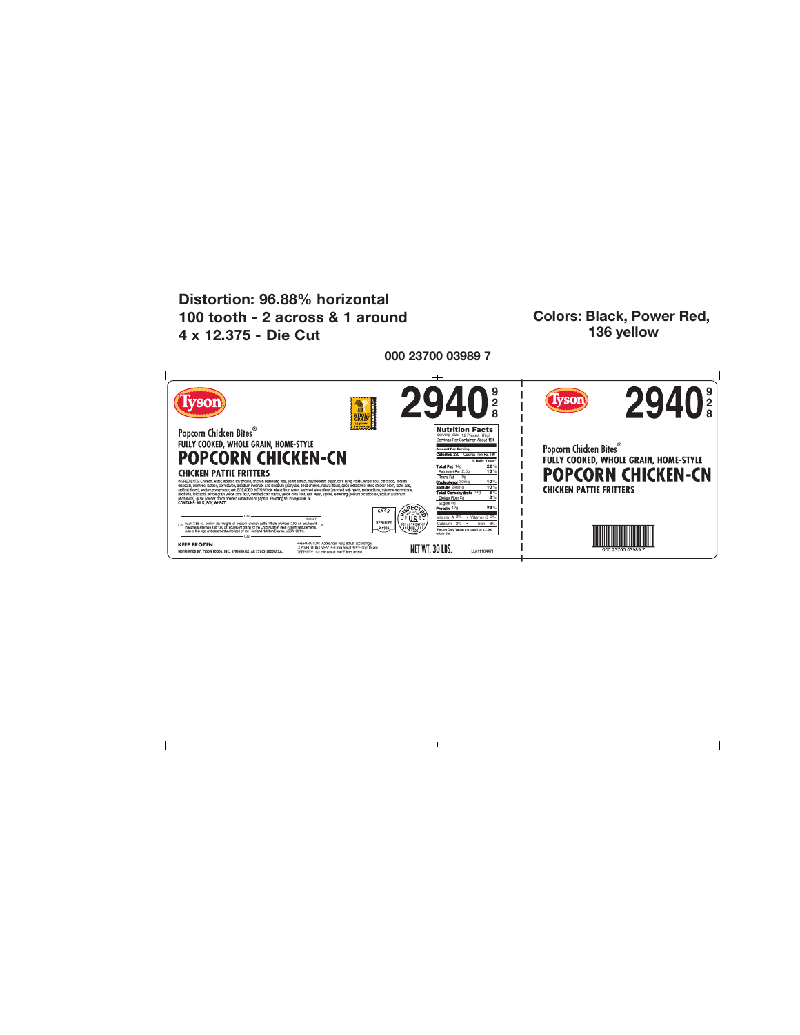

 $+$ 

 $\mathsf I$ 

 $\overline{\phantom{a}}$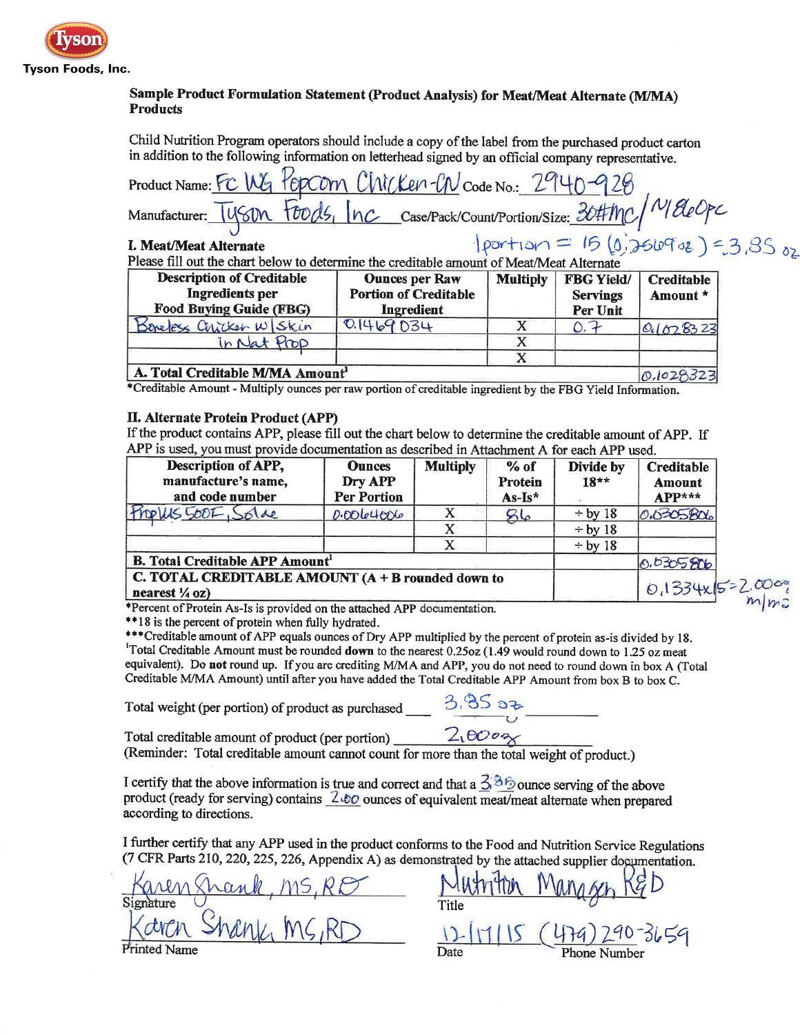

# Sample Product Formulation Statement (Product Analysis) for Meat/Meat Alternate (M/MA) **Products**

Child Nutrition Program operators should include a copy of the label from the purchased product carton in addition to the following information on letterhead signed by an official company representative.

| Please fill out the chart below to determine the creditable amount of Meat/Meat Alternate |
|-------------------------------------------------------------------------------------------|
| I. Meat/Meat Alternate                                                                    |
|                                                                                           |
| Manufacturer:                                                                             |
| Product Name: FC WG POPCOM CWCKen-CN Code No.: 2940-928                                   |
|                                                                                           |
|                                                                                           |

A. Total Creditable M/MA Amount  $0.1028$ \*Creditable Amount - Multiply ounces per raw portion of creditable ingredient by the FBG Yield Information.

### **II. Alternate Protein Product (APP)**

If the product contains APP, please fill out the chart below to determine the creditable amount of APP. If APP is used, you must provide documentation as described in Attachment A for each APP used.

| Description of APP,<br>manufacture's name,<br>and code number                    | <b>Ounces</b><br>Dry APP<br><b>Per Portion</b> | <b>Multiply</b> | % of<br>Protein<br>$As-Is*$ | Divide by<br>$18**$ | <b>Creditable</b><br>Amount<br>$APP***$ |
|----------------------------------------------------------------------------------|------------------------------------------------|-----------------|-----------------------------|---------------------|-----------------------------------------|
| Propus SOOF, Solae                                                               | 0.00004006                                     |                 | $\mathcal{B}\mathsf{L}$     | $\div$ by 18        | 0.0305806                               |
|                                                                                  |                                                | X               |                             | $\div$ by 18        |                                         |
|                                                                                  |                                                | x               |                             | $\div$ by 18        |                                         |
| <b>B. Total Creditable APP Amount'</b>                                           |                                                |                 |                             | 0.0305806           |                                         |
| C. TOTAL CREDITABLE AMOUNT $(A + B$ rounded down to<br>nearest $\frac{1}{4}$ oz) |                                                |                 |                             | 0,1334x15=          |                                         |

\*Percent of Protein As-Is is provided on the attached APP documentation.

\*\*18 is the percent of protein when fully hydrated.

\*\*\* Creditable amount of APP equals ounces of Dry APP multiplied by the percent of protein as-is divided by 18. <sup>1</sup>Total Creditable Amount must be rounded down to the nearest 0.25oz (1.49 would round down to 1.25 oz meat equivalent). Do not round up. If you are crediting M/MA and APP, you do not need to round down in box A (Total Creditable M/MA Amount) until after you have added the Total Creditable APP Amount from box B to box C.

Total weight (per portion) of product as purchased

3. BS 32

Total creditable amount of product (per portion)

 $2.0002$ 

(Reminder: Total creditable amount cannot count for more than the total weight of product.)

I certify that the above information is true and correct and that a  $3.86$  ounce serving of the above product (ready for serving) contains 2.60 ounces of equivalent meat/meat alternate when prepared according to directions.

I further certify that any APP used in the product conforms to the Food and Nutrition Service Regulations (7 CFR Parts 210, 220, 225, 226, Appendix A) as demonstrated by the attached supplier documentation.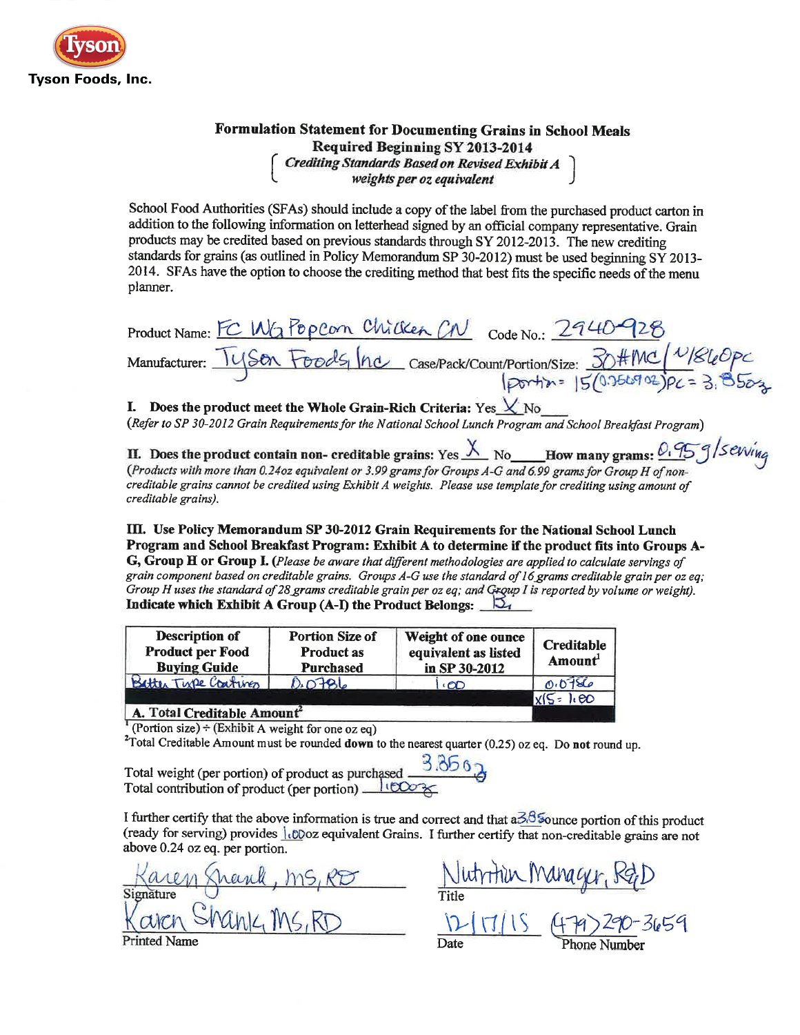

# Formulation Statement for Documenting Grains in School Meals Required Beginning SY 2013-2014 Crediting Standards Based on Revised Exhibit A<br>weights per oz equivalent

School Food Authorities (SFAs) should include a copy of the label from the purchased product carton in addition to the following information on letterhead signed by an official company representative. Grain products may be credited based on previous standards through SY 2012-2013. The new crediting standards for grains (as outlined in Policy Memorandum SP 30-2012) must be used beginning SY 2013-2014. SFAs have the option to choose the crediting method that best fits the specific needs of the menu planner.

| Product Name: FC WG PopCon Chicken CN Code No.: 2940-928 |                                                                                                                 |
|----------------------------------------------------------|-----------------------------------------------------------------------------------------------------------------|
|                                                          | Vianufacturer: Tyson Foods, Inc case/Pack/Count/Portion/Size: 30#MC N/860PC<br>Dortin= 15/0.756902)PC = 3. 8502 |

# I. Does the product meet the Whole Grain-Rich Criteria: Yes  $\chi$  No

(Refer to SP 30-2012 Grain Requirements for the National School Lunch Program and School Breakfast Program)

II. Does the product contain non- creditable grains: Yes  $\frac{\lambda}{\lambda}$  No How many grams:  $0.95$   $9/$ Sevving (Products with more than 0.24oz equivalent or 3.99 grams for Groups A-G and 6.99 grams for Group H of noncreditable grains cannot be credited using Exhibit A weights. Please use template for crediting using amount of creditable grains).

III. Use Policy Memorandum SP 30-2012 Grain Requirements for the National School Lunch Program and School Breakfast Program: Exhibit A to determine if the product fits into Groups A-G, Group H or Group I. (Please be aware that different methodologies are applied to calculate servings of grain component based on creditable grains. Groups A-G use the standard of 16 grams creditable grain per oz eq; Group H uses the standard of 28 grams creditable grain per oz eq; and Group I is reported by volume or weight). Indicate which Exhibit A Group (A-I) the Product Belongs:  $\Box$ 

| Description of<br><b>Product per Food</b><br><b>Buying Guide</b> | <b>Portion Size of</b><br><b>Product as</b><br><b>Purchased</b> | Weight of one ounce<br>equivalent as listed<br>in SP 30-2012 | <b>Creditable</b><br>Amount |
|------------------------------------------------------------------|-----------------------------------------------------------------|--------------------------------------------------------------|-----------------------------|
| Batter Tupe Coatings                                             | 0.0786                                                          | ∗ØD                                                          | 0.0786                      |
|                                                                  |                                                                 |                                                              | $X(S: h\omega)$             |

## A. Total Creditable Amount

Portion size) ÷ (Exhibit A weight for one oz eq)

<sup>2</sup>Total Creditable Amount must be rounded **down** to the nearest quarter  $(0.25)$  oz eq. Do not round up.

Total weight (per portion) of product as purchased  $\frac{3.356}{3}$ <br>Total contribution of product (per portion)  $\frac{11500}{5}$ 

I further certify that the above information is true and correct and that  $a\bar{3}.\bar{3}$  Sounce portion of this product (ready for serving) provides *i.co*oz equivalent Grains. I further certify that non-creditable grains are not above 0.24 oz eq. per portion.